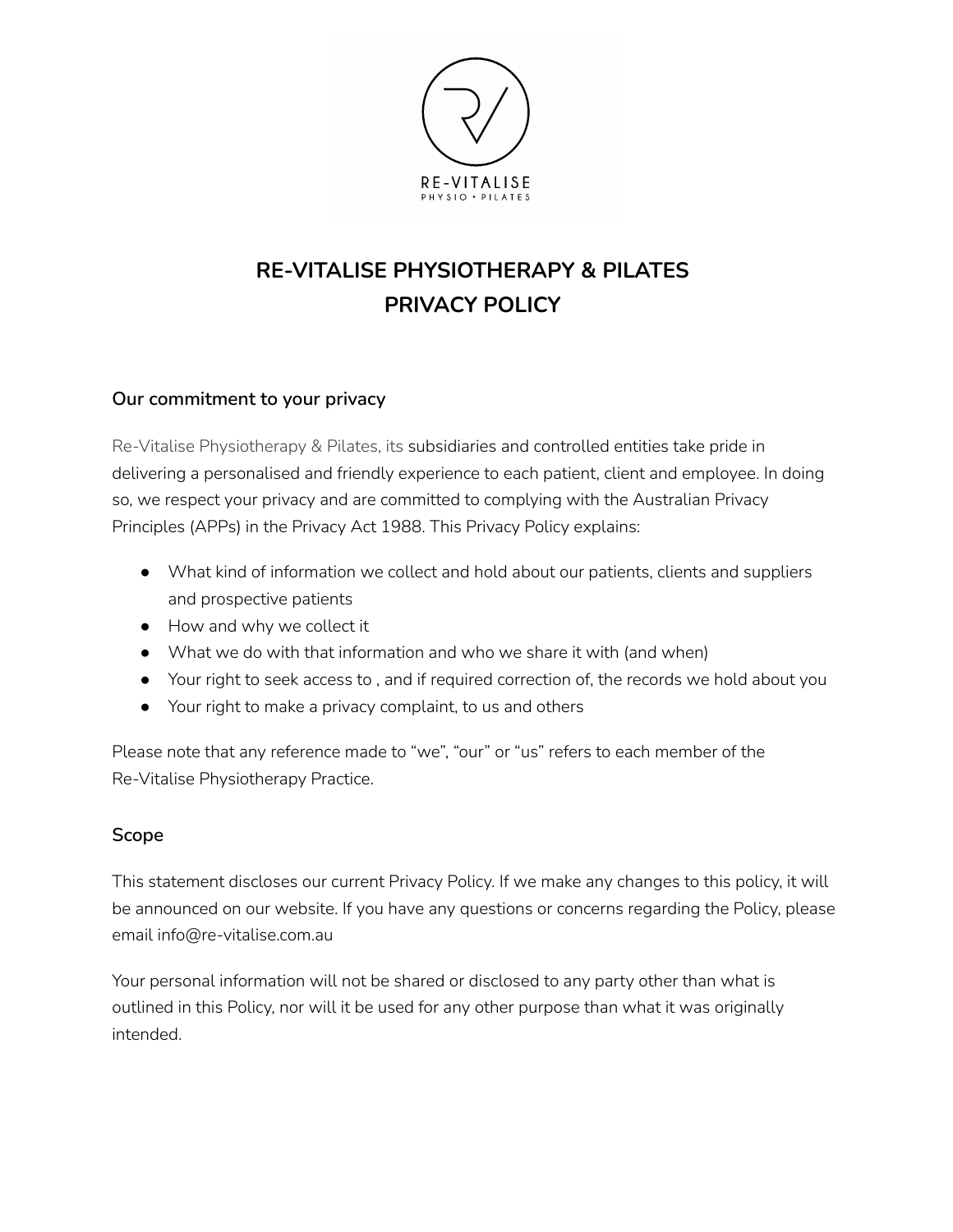

# **RE-VITALISE PHYSIOTHERAPY & PILATES PRIVACY POLICY**

#### **Our commitment to your privacy**

Re-Vitalise Physiotherapy & Pilates, its subsidiaries and controlled entities take pride in delivering a personalised and friendly experience to each patient, client and employee. In doing so, we respect your privacy and are committed to complying with the Australian Privacy Principles (APPs) in the Privacy Act 1988. This Privacy Policy explains:

- What kind of information we collect and hold about our patients, clients and suppliers and prospective patients
- How and why we collect it
- What we do with that information and who we share it with (and when)
- Your right to seek access to, and if required correction of, the records we hold about you
- Your right to make a privacy complaint, to us and others

Please note that any reference made to "we", "our" or "us" refers to each member of the Re-Vitalise Physiotherapy Practice.

#### **Scope**

This statement discloses our current Privacy Policy. If we make any changes to this policy, it will be announced on our website. If you have any questions or concerns regarding the Policy, please email info@re-vitalise.com.au

Your personal information will not be shared or disclosed to any party other than what is outlined in this Policy, nor will it be used for any other purpose than what it was originally intended.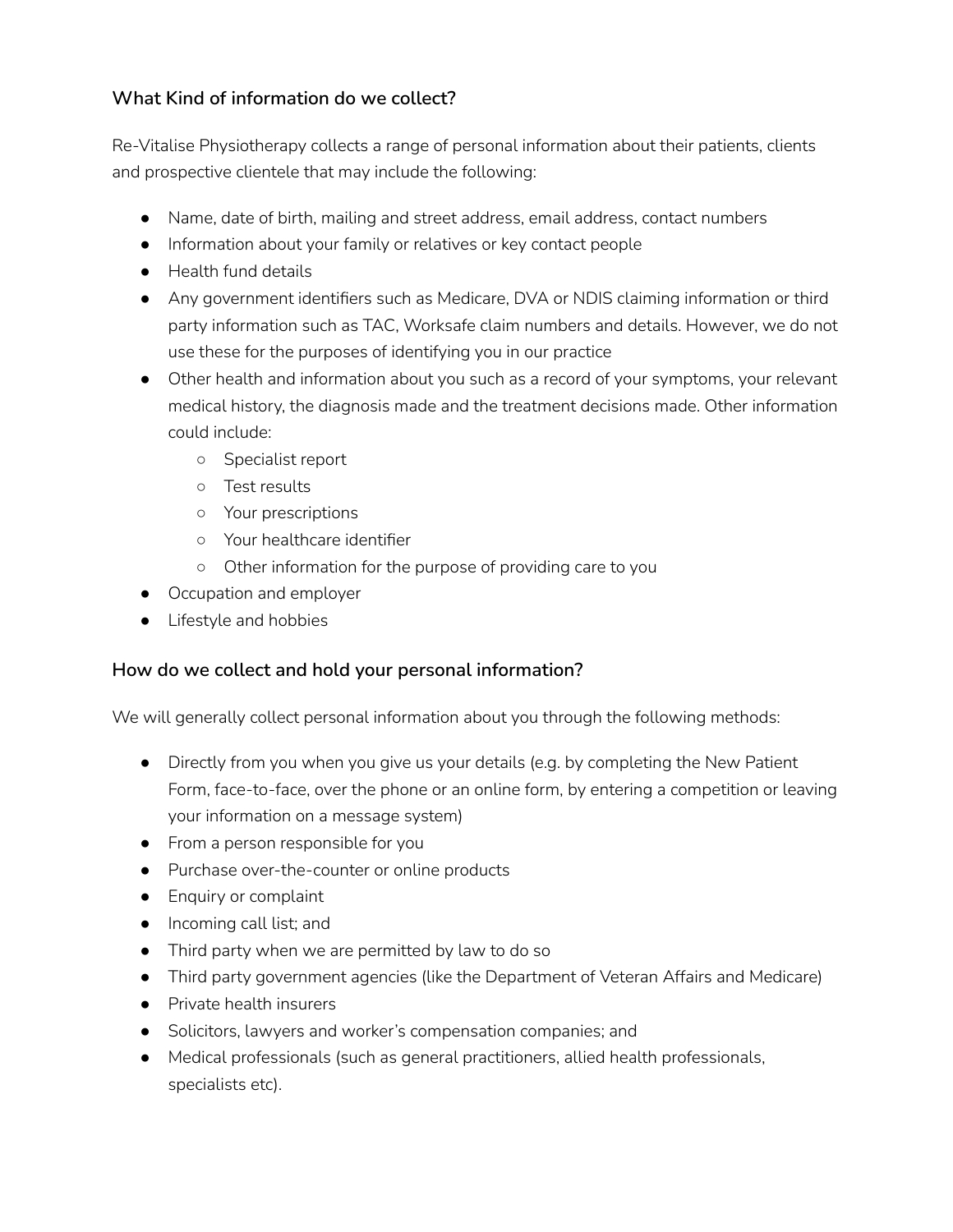# **What Kind of information do we collect?**

Re-Vitalise Physiotherapy collects a range of personal information about their patients, clients and prospective clientele that may include the following:

- Name, date of birth, mailing and street address, email address, contact numbers
- Information about your family or relatives or key contact people
- Health fund details
- Any government identifiers such as Medicare, DVA or NDIS claiming information or third party information such as TAC, Worksafe claim numbers and details. However, we do not use these for the purposes of identifying you in our practice
- Other health and information about you such as a record of your symptoms, your relevant medical history, the diagnosis made and the treatment decisions made. Other information could include:
	- Specialist report
	- Test results
	- Your prescriptions
	- Your healthcare identifier
	- Other information for the purpose of providing care to you
- Occupation and employer
- Lifestyle and hobbies

#### **How do we collect and hold your personal information?**

We will generally collect personal information about you through the following methods:

- Directly from you when you give us your details (e.g. by completing the New Patient Form, face-to-face, over the phone or an online form, by entering a competition or leaving your information on a message system)
- From a person responsible for you
- Purchase over-the-counter or online products
- Enquiry or complaint
- Incoming call list; and
- Third party when we are permitted by law to do so
- Third party government agencies (like the Department of Veteran Affairs and Medicare)
- Private health insurers
- Solicitors, lawyers and worker's compensation companies; and
- Medical professionals (such as general practitioners, allied health professionals, specialists etc).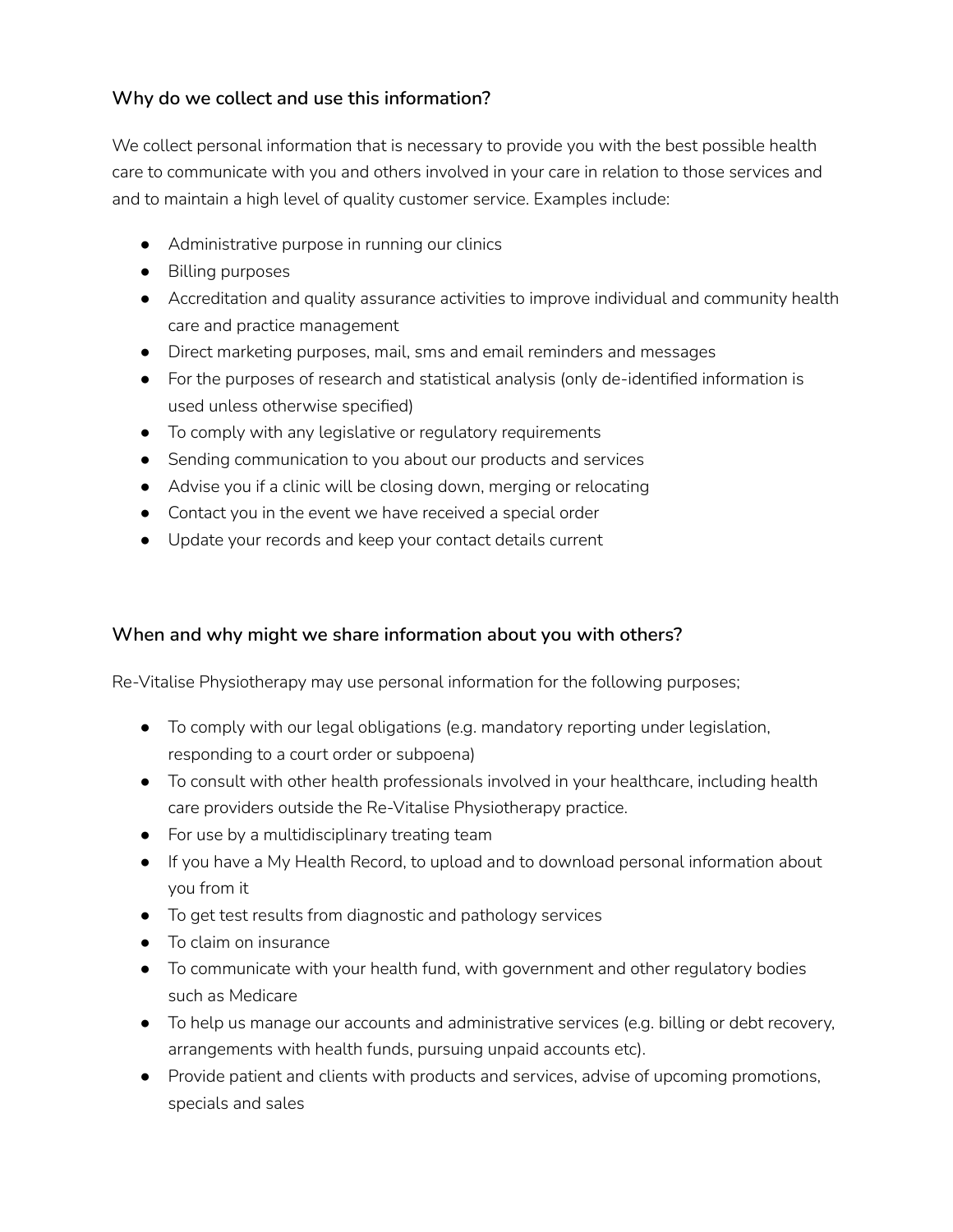## **Why do we collect and use this information?**

We collect personal information that is necessary to provide you with the best possible health care to communicate with you and others involved in your care in relation to those services and and to maintain a high level of quality customer service. Examples include:

- Administrative purpose in running our clinics
- Billing purposes
- Accreditation and quality assurance activities to improve individual and community health care and practice management
- Direct marketing purposes, mail, sms and email reminders and messages
- For the purposes of research and statistical analysis (only de-identified information is used unless otherwise specified)
- To comply with any legislative or regulatory requirements
- Sending communication to you about our products and services
- Advise you if a clinic will be closing down, merging or relocating
- Contact you in the event we have received a special order
- Update your records and keep your contact details current

## **When and why might we share information about you with others?**

Re-Vitalise Physiotherapy may use personal information for the following purposes;

- To comply with our legal obligations (e.g. mandatory reporting under legislation, responding to a court order or subpoena)
- To consult with other health professionals involved in your healthcare, including health care providers outside the Re-Vitalise Physiotherapy practice.
- For use by a multidisciplinary treating team
- If you have a My Health Record, to upload and to download personal information about you from it
- To get test results from diagnostic and pathology services
- To claim on insurance
- To communicate with your health fund, with government and other regulatory bodies such as Medicare
- To help us manage our accounts and administrative services (e.g. billing or debt recovery, arrangements with health funds, pursuing unpaid accounts etc).
- Provide patient and clients with products and services, advise of upcoming promotions, specials and sales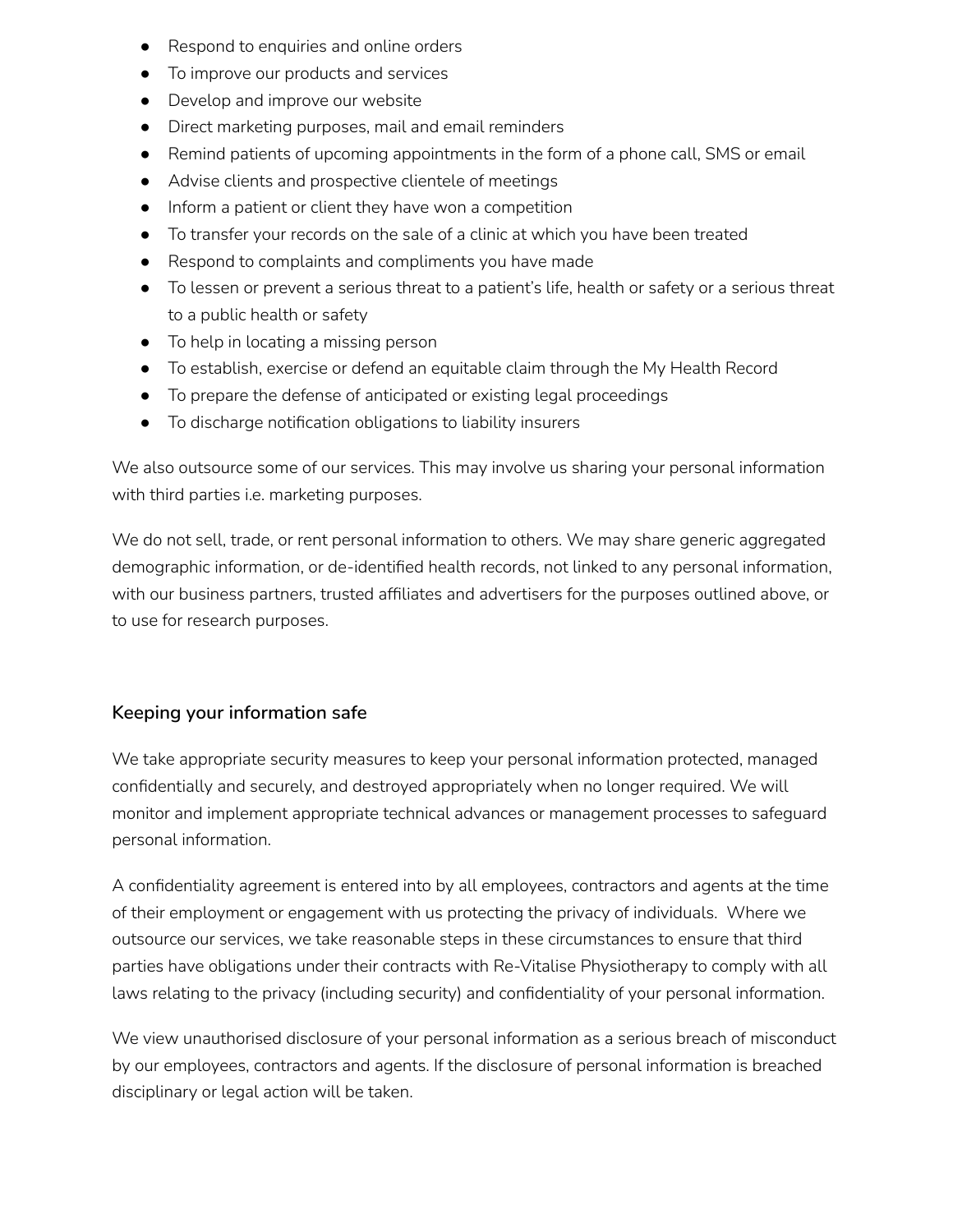- Respond to enquiries and online orders
- To improve our products and services
- Develop and improve our website
- Direct marketing purposes, mail and email reminders
- Remind patients of upcoming appointments in the form of a phone call, SMS or email
- Advise clients and prospective clientele of meetings
- Inform a patient or client they have won a competition
- To transfer your records on the sale of a clinic at which you have been treated
- Respond to complaints and compliments you have made
- To lessen or prevent a serious threat to a patient's life, health or safety or a serious threat to a public health or safety
- To help in locating a missing person
- To establish, exercise or defend an equitable claim through the My Health Record
- To prepare the defense of anticipated or existing legal proceedings
- To discharge notification obligations to liability insurers

We also outsource some of our services. This may involve us sharing your personal information with third parties i.e. marketing purposes.

We do not sell, trade, or rent personal information to others. We may share generic aggregated demographic information, or de-identified health records, not linked to any personal information, with our business partners, trusted affiliates and advertisers for the purposes outlined above, or to use for research purposes.

#### **Keeping your information safe**

We take appropriate security measures to keep your personal information protected, managed confidentially and securely, and destroyed appropriately when no longer required. We will monitor and implement appropriate technical advances or management processes to safeguard personal information.

A confidentiality agreement is entered into by all employees, contractors and agents at the time of their employment or engagement with us protecting the privacy of individuals. Where we outsource our services, we take reasonable steps in these circumstances to ensure that third parties have obligations under their contracts with Re-Vitalise Physiotherapy to comply with all laws relating to the privacy (including security) and confidentiality of your personal information.

We view unauthorised disclosure of your personal information as a serious breach of misconduct by our employees, contractors and agents. If the disclosure of personal information is breached disciplinary or legal action will be taken.